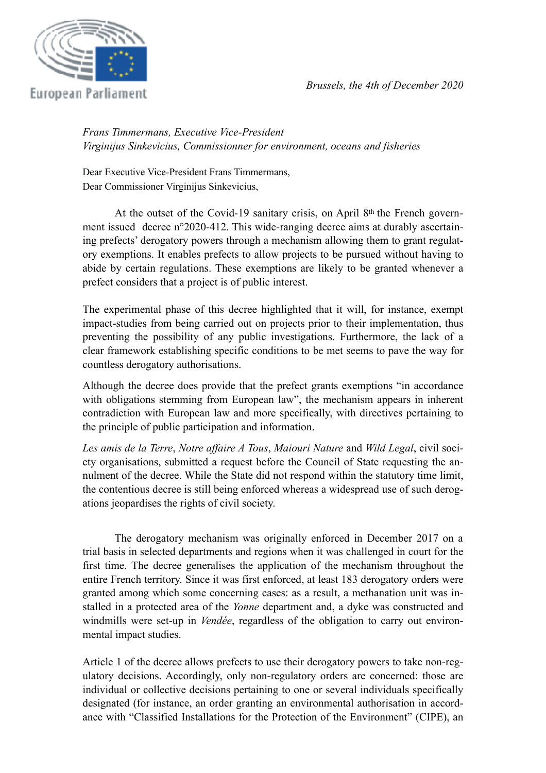

*Frans Timmermans, Executive Vice-President Virginijus Sinkevicius, Commissionner for environment, oceans and fisheries*

Dear Executive Vice-President Frans Timmermans, Dear Commissioner Virginijus Sinkevicius,

At the outset of the Covid-19 sanitary crisis, on April 8<sup>th</sup> the French government issued decree n°2020-412. This wide-ranging decree aims at durably ascertaining prefects' derogatory powers through a mechanism allowing them to grant regulatory exemptions. It enables prefects to allow projects to be pursued without having to abide by certain regulations. These exemptions are likely to be granted whenever a prefect considers that a project is of public interest.

The experimental phase of this decree highlighted that it will, for instance, exempt impact-studies from being carried out on projects prior to their implementation, thus preventing the possibility of any public investigations. Furthermore, the lack of a clear framework establishing specific conditions to be met seems to pave the way for countless derogatory authorisations.

Although the decree does provide that the prefect grants exemptions "in accordance with obligations stemming from European law", the mechanism appears in inherent contradiction with European law and more specifically, with directives pertaining to the principle of public participation and information.

*Les amis de la Terre*, *Notre affaire A Tous*, *Maiouri Nature* and *Wild Legal*, civil society organisations, submitted a request before the Council of State requesting the annulment of the decree. While the State did not respond within the statutory time limit, the contentious decree is still being enforced whereas a widespread use of such derogations jeopardises the rights of civil society.

The derogatory mechanism was originally enforced in December 2017 on a trial basis in selected departments and regions when it was challenged in court for the first time. The decree generalises the application of the mechanism throughout the entire French territory. Since it was first enforced, at least 183 derogatory orders were granted among which some concerning cases: as a result, a methanation unit was installed in a protected area of the *Yonne* department and, a dyke was constructed and windmills were set-up in *Vendée*, regardless of the obligation to carry out environmental impact studies.

Article 1 of the decree allows prefects to use their derogatory powers to take non-regulatory decisions. Accordingly, only non-regulatory orders are concerned: those are individual or collective decisions pertaining to one or several individuals specifically designated (for instance, an order granting an environmental authorisation in accordance with "Classified Installations for the Protection of the Environment" (CIPE), an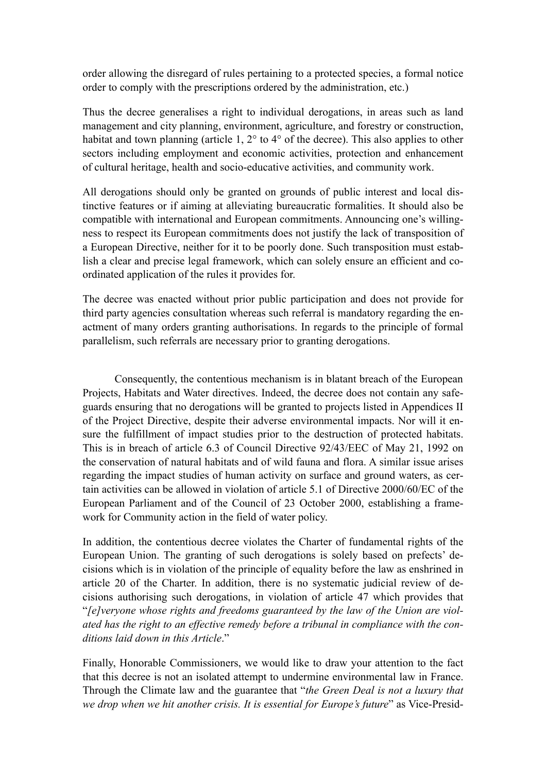order allowing the disregard of rules pertaining to a protected species, a formal notice order to comply with the prescriptions ordered by the administration, etc.)

Thus the decree generalises a right to individual derogations, in areas such as land management and city planning, environment, agriculture, and forestry or construction, habitat and town planning (article 1, 2° to 4° of the decree). This also applies to other sectors including employment and economic activities, protection and enhancement of cultural heritage, health and socio-educative activities, and community work.

All derogations should only be granted on grounds of public interest and local distinctive features or if aiming at alleviating bureaucratic formalities. It should also be compatible with international and European commitments. Announcing one's willingness to respect its European commitments does not justify the lack of transposition of a European Directive, neither for it to be poorly done. Such transposition must establish a clear and precise legal framework, which can solely ensure an efficient and coordinated application of the rules it provides for.

The decree was enacted without prior public participation and does not provide for third party agencies consultation whereas such referral is mandatory regarding the enactment of many orders granting authorisations. In regards to the principle of formal parallelism, such referrals are necessary prior to granting derogations.

Consequently, the contentious mechanism is in blatant breach of the European Projects, Habitats and Water directives. Indeed, the decree does not contain any safeguards ensuring that no derogations will be granted to projects listed in Appendices II of the Project Directive, despite their adverse environmental impacts. Nor will it ensure the fulfillment of impact studies prior to the destruction of protected habitats. This is in breach of article 6.3 of Council Directive 92/43/EEC of May 21, 1992 on the conservation of natural habitats and of wild fauna and flora. A similar issue arises regarding the impact studies of human activity on surface and ground waters, as certain activities can be allowed in violation of article 5.1 of Directive 2000/60/EC of the European Parliament and of the Council of 23 October 2000, establishing a framework for Community action in the field of water policy.

In addition, the contentious decree violates the Charter of fundamental rights of the European Union. The granting of such derogations is solely based on prefects' decisions which is in violation of the principle of equality before the law as enshrined in article 20 of the Charter. In addition, there is no systematic judicial review of decisions authorising such derogations, in violation of article 47 which provides that "*[e]veryone whose rights and freedoms guaranteed by the law of the Union are violated has the right to an effective remedy before a tribunal in compliance with the conditions laid down in this Article*."

Finally, Honorable Commissioners, we would like to draw your attention to the fact that this decree is not an isolated attempt to undermine environmental law in France. Through the Climate law and the guarantee that "*the Green Deal is not a luxury that we drop when we hit another crisis. It is essential for Europe's future*" as Vice-Presid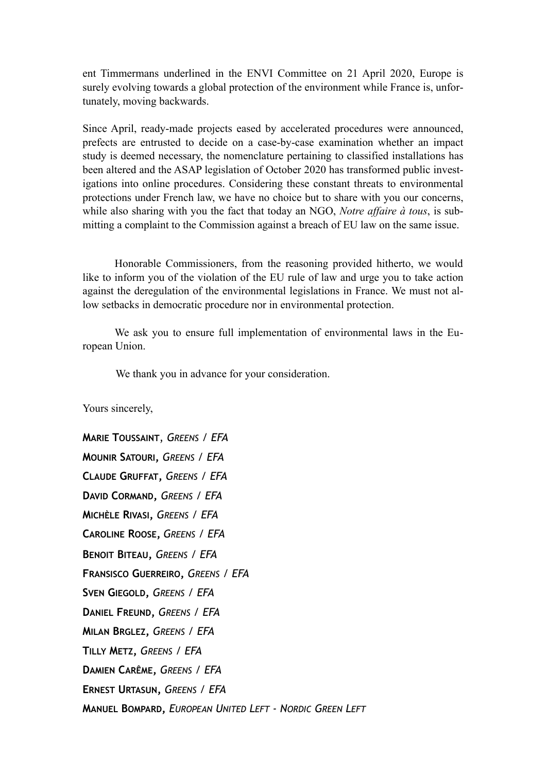ent Timmermans underlined in the ENVI Committee on 21 April 2020, Europe is surely evolving towards a global protection of the environment while France is, unfortunately, moving backwards.

Since April, ready-made projects eased by accelerated procedures were announced, prefects are entrusted to decide on a case-by-case examination whether an impact study is deemed necessary, the nomenclature pertaining to classified installations has been altered and the ASAP legislation of October 2020 has transformed public investigations into online procedures. Considering these constant threats to environmental protections under French law, we have no choice but to share with you our concerns, while also sharing with you the fact that today an NGO, *Notre affaire à tous*, is submitting a complaint to the Commission against a breach of EU law on the same issue.

Honorable Commissioners, from the reasoning provided hitherto, we would like to inform you of the violation of the EU rule of law and urge you to take action against the deregulation of the environmental legislations in France. We must not allow setbacks in democratic procedure nor in environmental protection.

We ask you to ensure full implementation of environmental laws in the European Union.

We thank you in advance for your consideration.

Yours sincerely,

**MARIE TOUSSAINT**, *GREENS / EFA* **MOUNIR SATOURI,** *GREENS / EFA* **CLAUDE GRUFFAT,** *GREENS / EFA* **DAVID CORMAND,** *GREENS / EFA* **MICHÈLE RIVASI,** *GREENS / EFA* **CAROLINE ROOSE,** *GREENS / EFA* **BENOIT BITEAU,** *GREENS / EFA* **FRANSISCO GUERREIRO,** *GREENS / EFA* **SVEN GIEGOLD,** *GREENS / EFA* **DANIEL FREUND,** *GREENS / EFA*  **MILAN BRGLEZ,** *GREENS / EFA*  **TILLY METZ,** *GREENS / EFA* **DAMIEN CARÊME,** *GREENS / EFA* **ERNEST URTASUN,** *GREENS / EFA* **MANUEL BOMPARD,** *EUROPEAN UNITED LEFT - NORDIC GREEN LEFT*